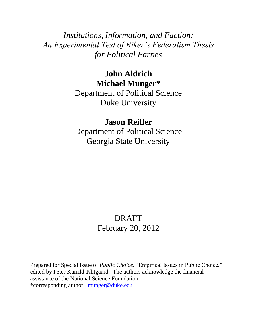*Institutions, Information, and Faction: An Experimental Test of Riker's Federalism Thesis for Political Parties*

> **John Aldrich Michael Munger\*** Department of Political Science Duke University

> **Jason Reifler** Department of Political Science Georgia State University

# DRAFT February 20, 2012

Prepared for Special Issue of *Public Choice*, "Empirical Issues in Public Choice," edited by Peter Kurrild-Klitgaard. The authors acknowledge the financial assistance of the National Science Foundation. \*corresponding author: [munger@duke.edu](mailto:munger@duke.edu)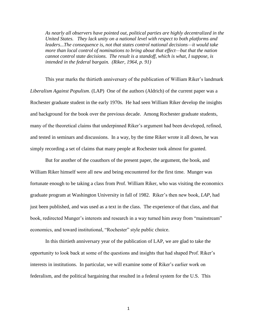*As nearly all observers have pointed out, political parties are highly decentralized in the United States. They lack unity on a national level with respect to both platforms and leaders...The consequence is, not that states control national decisions—it would take more than local control of nominations to bring about that effect—but that the nation cannot control state decisions. The result is a standoff, which is what, I suppose, is intended in the federal bargain. (Riker, 1964, p. 91)*

This year marks the thirtieth anniversary of the publication of William Riker's landmark *Liberalism Against Populism*. (LAP) One of the authors (Aldrich) of the current paper was a Rochester graduate student in the early 1970s. He had seen William Riker develop the insights and background for the book over the previous decade. Among Rochester graduate students, many of the theoretical claims that underpinned Riker's argument had been developed, refined, and tested in seminars and discussions. In a way, by the time Riker wrote it all down, he was simply recording a set of claims that many people at Rochester took almost for granted.

But for another of the coauthors of the present paper, the argument, the book, and William Riker himself were all new and being encountered for the first time. Munger was fortunate enough to be taking a class from Prof. William Riker, who was visiting the economics graduate program at Washington University in fall of 1982. Riker's then new book, *LAP*, had just been published, and was used as a text in the class. The experience of that class, and that book, redirected Munger's interests and research in a way turned him away from "mainstream" economics, and toward institutional, "Rochester" style public choice.

In this thirtieth anniversary year of the publication of LAP, we are glad to take the opportunity to look back at some of the questions and insights that had shaped Prof. Riker's interests in institutions. In particular, we will examine some of Riker's earlier work on federalism, and the political bargaining that resulted in a federal system for the U.S. This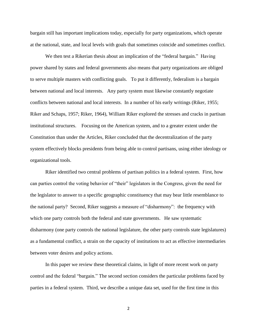bargain still has important implications today, especially for party organizations, which operate at the national, state, and local levels with goals that sometimes coincide and sometimes conflict.

We then test a Rikerian thesis about an implication of the "federal bargain." Having power shared by states and federal governments also means that party organizations are obliged to serve multiple masters with conflicting goals. To put it differently, federalism is a bargain between national and local interests. Any party system must likewise constantly negotiate conflicts between national and local interests. In a number of his early writings (Riker, 1955; Riker and Schaps, 1957; Riker, 1964), William Riker explored the stresses and cracks in partisan institutional structures. Focusing on the American system, and to a greater extent under the Constitution than under the Articles, Riker concluded that the decentralization of the party system effectively blocks presidents from being able to control partisans, using either ideology or organizational tools.

Riker identified two central problems of partisan politics in a federal system. First, how can parties control the voting behavior of "their" legislators in the Congress, given the need for the legislator to answer to a specific geographic constituency that may bear little resemblance to the national party? Second, Riker suggests a measure of "disharmony": the frequency with which one party controls both the federal and state governments. He saw systematic disharmony (one party controls the national legislature, the other party controls state legislatures) as a fundamental conflict, a strain on the capacity of institutions to act as effective intermediaries between voter desires and policy actions.

In this paper we review these theoretical claims, in light of more recent work on party control and the federal "bargain." The second section considers the particular problems faced by parties in a federal system. Third, we describe a unique data set, used for the first time in this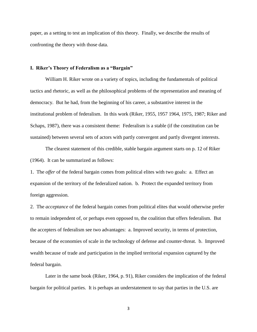paper, as a setting to test an implication of this theory. Finally, we describe the results of confronting the theory with those data.

### **I. Riker's Theory of Federalism as a "Bargain"**

William H. Riker wrote on a variety of topics, including the fundamentals of political tactics and rhetoric, as well as the philosophical problems of the representation and meaning of democracy. But he had, from the beginning of his career, a substantive interest in the institutional problem of federalism. In this work (Riker, 1955, 1957 1964, 1975, 1987; Riker and Schaps, 1987), there was a consistent theme: Federalism is a stable (if the constitution can be sustained) between several sets of actors with partly convergent and partly divergent interests.

The clearest statement of this credible, stable bargain argument starts on p. 12 of Riker (1964). It can be summarized as follows:

1. The *offer* of the federal bargain comes from political elites with two goals: a. Effect an expansion of the territory of the federalized nation. b. Protect the expanded territory from foreign aggression.

2. The *acceptance* of the federal bargain comes from political elites that would otherwise prefer to remain independent of, or perhaps even opposed to, the coalition that offers federalism. But the accepters of federalism see two advantages: a. Improved security, in terms of protection, because of the economies of scale in the technology of defense and counter-threat. b. Improved wealth because of trade and participation in the implied territorial expansion captured by the federal bargain.

Later in the same book (Riker, 1964, p. 91), Riker considers the implication of the federal bargain for political parties. It is perhaps an understatement to say that parties in the U.S. are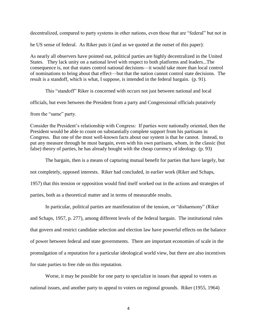decentralized, compared to party systems in other nations, even those that are "federal" but not in

he US sense of federal. As Riker puts it (and as we quoted at the outset of this paper):

As nearly all observers have pointed out, political parties are highly decentralized in the United States. They lack unity on a national level with respect to both platforms and leaders...The consequence is, not that states control national decisions—it would take more than local control of nominations to bring about that effect—but that the nation cannot control state decisions. The result is a standoff, which is what, I suppose, is intended in the federal bargain. (p. 91).

This "standoff" Riker is concerned with occurs not just between national and local

officials, but even between the President from a party and Congressional officials putatively

from the "same" party.

Consider the President's relationship with Congress: If parties were nationally oriented, then the President would be able to count on substantially complete support from his partisans in Congress. But one of the most well-known facts about our system is that he cannot. Instead, to put any measure through he must bargain, even with his own partisans, whom, in the classic (but false) theory of parties, he has already bought with the cheap currency of ideology. (p. 93)

The bargain, then is a means of capturing mutual benefit for parties that have largely, but not completely, opposed interests. Riker had concluded, in earlier work (Riker and Schaps, 1957) that this tension or opposition would find itself worked out in the actions and strategies of parties, both as a theoretical matter and in terms of measurable results.

In particular, political parties are manifestation of the tension, or "disharmony" (Riker and Schaps, 1957, p. 277), among different levels of the federal bargain. The institutional rules that govern and restrict candidate selection and election law have powerful effects on the balance of power between federal and state governments. There are important economies of scale in the promulgation of a reputation for a particular ideological world view, but there are also incentives for state parties to free ride on this reputation.

Worse, it may be possible for one party to specialize in issues that appeal to voters as national issues, and another party to appeal to voters on regional grounds. Riker (1955, 1964)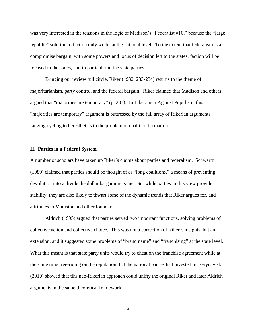was very interested in the tensions in the logic of Madison's "Federalist #10," because the "large republic" solution to faction only works at the national level. To the extent that federalism is a compromise bargain, with some powers and locus of decision left to the states, faction will be focused in the states, and in particular in the state parties.

Bringing our review full circle, Riker (1982, 233-234) returns to the theme of majoritarianism, party control, and the federal bargain. Riker claimed that Madison and others argued that "majorities are temporary" (p. 233). In Liberalism Against Populism, this "majorities are temporary" argument is buttressed by the full array of Rikerian arguments, ranging cycling to heresthetics to the problem of coalition formation.

### **II. Parties in a Federal System**

A number of scholars have taken up Riker's claims about parties and federalism. Schwartz (1989) claimed that parties should be thought of as "long coalitions," a means of preventing devolution into a divide the dollar bargaining game. So, while parties in this view provide stability, they are also likely to thwart some of the dynamic trends that Riker argues for, and attributes to Madision and other founders.

Aldrich (1995) argued that parties served two important functions, solving problems of collective action and collective choice. This was not a correction of Riker's insights, but an extension, and it suggested some problems of "brand name" and "franchising" at the state level. What this meant is that state party units would try to cheat on the franchise agreement while at the same time free-riding on the reputation that the national parties had invested in. Grynaviski (2010) showed that tihs neo-Rikerian approach could unifty the original Riker and later Aldrich arguments in the same theoretical framework.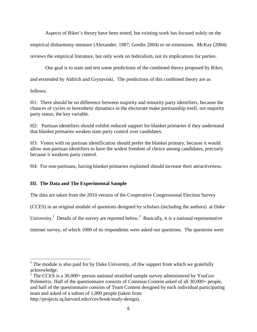Aspects of Riker's theory have been tested, but existing work has focused solely on the empirical disharmony measure (Alexander, 1987; Gordin 2004) or on extensions. McKay (2004) reviews the empirical literature, but only work on federalism, not its implications for parties.

Our goal is to state and test some predictions of the combined theory proposed by Riker,

and etxtended by Aldrich and Grynaviski. The predictions of this combined theory are as

follows:

 $\overline{\phantom{a}}$ 

H1: There should be no difference between majority and minority party identifiers, because the chances of cycles or heresthetic dynamics in the electorate make partisanship itself, not majority party status, the key variable.

H2: Partisan identifiers should exhibit reduced support for blanket primaries if they understand that blanket primaries weaken state party control over candidates.

H3: Voters with no partisan identification should prefer the blanket primary, because it would allow non-partisan identifiers to have the widest freedom of choice among candidates, precisely because it weakens party control.

H4: For non-partisans, having blanket primaries explained should increase their attractiveness.

### **III. The Data and The Experimental Sample**

The data are taken from the 2010 version of the Cooperative Congressional Election Survey

(CCES) in an original module of questions designed by scholars (including the authors) at Duke

University.<sup>1</sup> Details of the survey are reported below.<sup>2</sup> Basically, it is a national representative

internet survey, of which 1000 of its respondents were asked our questions. The questions were

http://projects.iq.harvard.edu/cces/book/study-design).

<sup>&</sup>lt;sup>1</sup> The module is also paid for by Duke University, of thw support from which we gratefully acknowledge.

<sup>&</sup>lt;sup>2</sup> The CCES is a 30,000+ person national stratified sample survey administered by YouGov Polimetrix. Half of the questionnaire consists of Common Content asked of all 30,000+ people, and half of the questionnaire consists of Team Content designed by each individual participating team and asked of a subset of 1,000 people (taken from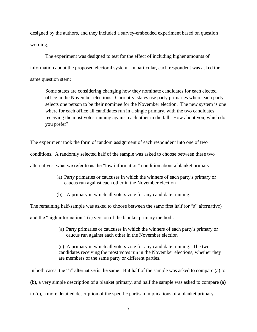designed by the authors, and they included a survey-embedded experiment based on question wording.

The experiment was designed to test for the effect of including higher amounts of information about the proposed electoral system. In particular, each respondent was asked the same question stem:

Some states are considering changing how they nominate candidates for each elected office in the November elections. Currently, states use party primaries where each party selects one person to be their nominee for the November election. The new system is one where for each office all candidates run in a single primary, with the two candidates receiving the most votes running against each other in the fall. How about you, which do you prefer?

The experiment took the form of random assignment of each respondent into one of two conditions. A randomly selected half of the sample was asked to choose between these two alternatives, what we refer to as the "low information" condition about a blanket primary:

- (a) Party primaries or caucuses in which the winners of each party's primary or caucus run against each other in the November election
- (b) A primary in which all voters vote for any candidate running.

The remaining half-sample was asked to choose between the same first half (or "a" alternative)

and the "high information" (c) version of the blanket primary method::

(a) Party primaries or caucuses in which the winners of each party's primary or caucus run against each other in the November election

(c) A primary in which all voters vote for any candidate running. The two candidates receiving the most votes run in the November elections, whether they are members of the same party or different parties.

In both cases, the "a" alternative is the same. But half of the sample was asked to compare (a) to (b), a very simple description of a blanket primary, and half the sample was asked to compare (a) to (c), a more detailed description of the specific partisan implications of a blanket primary.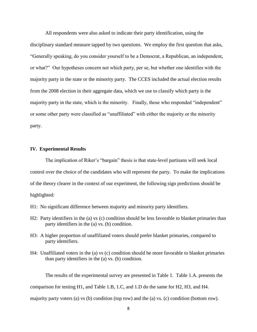All respondents were also asked to indicate their party identification, using the disciplinary standard measure tapped by two questions. We employ the first question that asks, "Generally speaking, do you consider yourself to be a Democrat, a Republican, an independent, or what?" Our hypotheses concern not which party, per se, but whether one identifies with the majority party in the state or the minority party. The CCES included the actual election results from the 2008 election in their aggregate data, which we use to classify which party is the majority party in the state, which is the minority. Finally, those who responded "independent" or some other party were classified as "unaffiliated" with either the majority or the minority party.

### **IV. Experimental Results**

The implication of Riker's "bargain" thesis is that state-level partisans will seek local control over the choice of the candidates who will represent the party. To make the implications of the theory clearer in the context of our experiment, the following sign predictions should be highlighted:

- H1: No significant difference between majority and minority party identifiers.
- H2: Party identifiers in the (a) vs (c) condition should be less favorable to blanket primaries than party identifiers in the (a) vs. (b) condition.
- H3: A higher proportion of unaffiliated voters should prefer blanket primaries, compared to party identifiers.
- H4: Unaffiliated voters in the (a) vs (c) condition should be more favorable to blanket primaries than party identifiers in the (a) vs. (b) condition.

The results of the experimental survey are presented in Table 1. Table 1.A. presents the comparison for testing H1, and Table 1.B, 1.C, and 1.D do the same for H2, H3, and H4. majority party voters (a) vs (b) condition (top row) and the (a) vs. (c) condition (bottom row).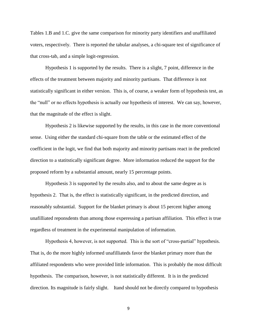Tables 1.B and 1.C. give the same comparison for minority party identifiers and unaffiliated voters, respectively. There is reported the tabular analyses, a chi-square test of significance of that cross-tab, and a simple logit-regression.

Hypothesis 1 is supported by the results. There is a slight, 7 point, difference in the effects of the treatment between majority and minority partisans. That difference is not statistically significant in either version. This is, of course, a weaker form of hypothesis test, as the "null" or no effects hypothesis is actually our hypothesis of interest. We can say, however, that the magnitude of the effect is slight.

Hypothesis 2 is likewise supported by the results, in this case in the more conventional sense. Using either the standard chi-square from the table or the estimated effect of the coefficient in the logit, we find that both majority and minority partisans react in the predicted direction to a statitstically significant degree. More information reduced the support for the proposed reform by a substantial amount, nearly 15 percentage points.

Hypothesis 3 is supported by the results also, and to about the same degree as is hypothesis 2. That is, the effect is statistically significant, in the predicted direction, and reasonably substantial. Support for the blanket primary is about 15 percent higher among unafilliated reponsdents than among those experessing a partisan affiliation. This effect is true regardless of treatment in the experimental manipulation of information.

Hypothesis 4, however, is not supported. This is the sort of "cross-partial" hypothesis. That is, do the more highly informed unafilliateds favor the blanket primary more than the affiliated respondents who were provided little information. This is probably the most difficult hypothesis. The comparison, however, is not statistically different. It is in the predicted direction. Its magnitude is fairly slight. Itand should not be directly compared to hypothesis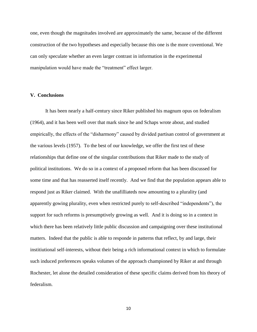one, even though the magnitudes involved are approximately the same, because of the different construction of the two hypotheses and especially because this one is the more coventional. We can only speculate whether an even larger contrast in information in the experimental manipulation would have made the "treatment" effect larger.

### **V. Conclusions**

It has been nearly a half-century since Riker published his magnum opus on federalism (1964), and it has been well over that mark since he and Schaps wrote about, and studied empirically, the effects of the "disharmony" caused by divided partisan control of government at the various levels (1957). To the best of our knowledge, we offer the first test of these relationships that define one of the singular contributions that Riker made to the study of political institutions. We do so in a context of a proposed reform that has been discussed for some time and that has reasserted itself recently. And we find that the population appears able to respond just as Riker claimed. With the unafilliateds now amounting to a plurality (and apparently gowing plurality, even when restricted purely to self-described "independents"), the support for such reforms is presumptively growing as well. And it is doing so in a context in which there has been relatively little public discussion and campaigning over these institutional matters. Indeed that the public is able to responde in patterns that reflect, by and large, their institiutional self-interests, without their being a rich informational context in which to formulate such induced preferences speaks volumes of the approach championed by Riker at and through Rochester, let alone the detailed consideration of these specific claims derived from his theory of federalism.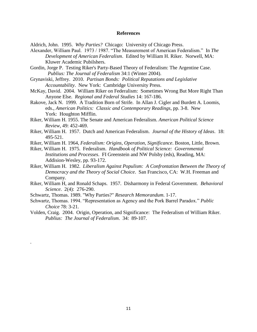#### **References**

Aldrich, John. 1995. *Why Parties?* Chicago: University of Chicago Press.

- Alexander, William Paul. 1973 / 1987. "The Measurement of American Federalism." In *The Development of American Federalism*. Edited by William H. Riker. Norwell, MA: Kluwer Academic Pubilshers.
- Gordin, Jorge P. Testing Riker's Party-Based Theory of Federalism: The Argentine Case. *Publius: The Journal of Federalism* 34:1 (Winter 2004).
- Grynaviski, Jeffrey. 2010. *Partisan Bonds: Political Reputations and Legislative Accountability*. New York: Cambridge University Press.
- McKay, David. 2004. William Riker on Federalism: Sometimes Wrong But More Right Than Anyone Else. *Regional and Federal Studies* 14: 167-186.
- Rakove, Jack N. 1999. A Tradition Born of Strife. In Allan J. Cigler and Burdett A. Loomis, eds., *American Politics: Classic and Contemporary Readings*, pp. 3-8. New York: Houghton Mifflin.
- Riker, William H. 1955. The Senate and American Federalism. *American Political Science Review*, 49: 452-469.
- Riker, William H. 1957. Dutch and American Federalism. *Journal of the History of Ideas*. 18: 495-521.
- Riker, William H. 1964, *Federalism: Origins, Operation, Significance*. Boston, Little, Brown.
- Riker, William H. 1975. Federalism. *Handbook of Political Science: Governmental Institutions and Processes*. FI Greenstein and NW Polsby (eds), Reading, MA: Addision-Wesley, pp. 93-172.
- Riker, William H. 1982. *Liberalism Against Populism: A Confrontation Between the Theory of Democracy and the Theory of Social Choice*. San Francisco, CA: W.H. Freeman and Company.
- Riker, William H, and Ronald Schaps. 1957. Disharmony in Federal Government. *Behavioral Science*. 2(4): 276-290.
- Schwartz, Thomas. 1989. "Why Parties?" *Research Memorandum*. 1-17.

.

- Schwartz, Thomas. 1994. "Representation as Agency and the Pork Barrel Paradox." *Public Choice* 78: 3-21.
- Volden, Craig. 2004. Origin, Operation, and Significance: The Federalism of William Riker. *Publius: The Journal of Federalism*. 34: 89-107.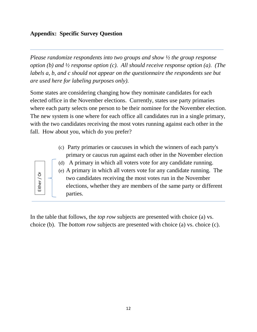# **Appendix: Specific Survey Question**

*Please randomize respondents into two groups and show ½ the group response option (b) and ½ response option (c). All should receive response option (a). (The labels a, b, and c should not appear on the questionnaire the respondents see but are used here for labeling purposes only).*

Some states are considering changing how they nominate candidates for each elected office in the November elections. Currently, states use party primaries where each party selects one person to be their nominee for the November election. The new system is one where for each office all candidates run in a single primary, with the two candidates receiving the most votes running against each other in the fall. How about you, which do you prefer?

- (c) Party primaries or caucuses in which the winners of each party's primary or caucus run against each other in the November election
- (d) A primary in which all voters vote for any candidate running.



(e) A primary in which all voters vote for any candidate running. The two candidates receiving the most votes run in the November elections, whether they are members of the same party or different parties. Example 1 and two candidates receiving the most votes run in the November<br>elections, whether they are members of the same party or different<br>parties.<br>In the table that follows, the *top row* subjects are presented with cho

In the table that follows, the *top row* subjects are presented with choice (a) vs.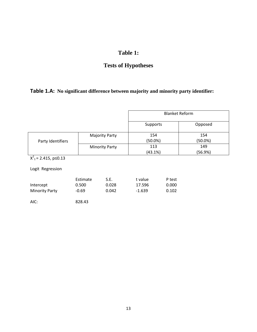# **Table 1:**

# **Tests of Hypotheses**

## **Table 1.A: No significant difference between majority and minority party identifier:**

|                   |                       | <b>Blanket Reform</b> |         |
|-------------------|-----------------------|-----------------------|---------|
|                   |                       | Supports              | Opposed |
|                   | <b>Majority Party</b> | 154                   | 154     |
| Party Identifiers |                       | $(50.0\%)$            | (50.0%) |
|                   | <b>Minority Party</b> | 113                   | 149     |
|                   |                       | (43.1%)               | (56.9%) |

|                       | Estimate | S.E.  | t value  | P test |
|-----------------------|----------|-------|----------|--------|
| Intercept             | 0.500    | 0.028 | 17.596   | 0.000  |
| <b>Minority Party</b> | $-0.69$  | 0.042 | $-1.639$ | 0.102  |

AIC: 828.43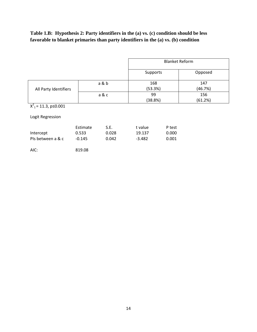### **Table 1.B: Hypothesis 2: Party identifiers in the (a) vs. (c) condition should be less favorable to blanket primaries than party identifiers in the (a) vs. (b) condition**

|                       |       |          | <b>Blanket Reform</b> |
|-----------------------|-------|----------|-----------------------|
|                       |       | Supports | Opposed               |
|                       | a & b | 168      | 147                   |
| All Party Identifiers |       | (53.3%)  | (46.7%)               |
|                       | a & c | 99       | 156                   |
| $\cdot$ $\cdot$ 2     |       | (38.8%)  | (61.2%)               |

 $X^2$ <sub>1</sub> = 11.3, p≤0.001

Logit Regression

|                   | Estimate | S.E.  | t value  | P test |
|-------------------|----------|-------|----------|--------|
| Intercept         | 0.533    | 0.028 | 19.137   | 0.000  |
| Pls between a & c | $-0.145$ | 0.042 | $-3.482$ | 0.001  |
| AIC:              | 819.08   |       |          |        |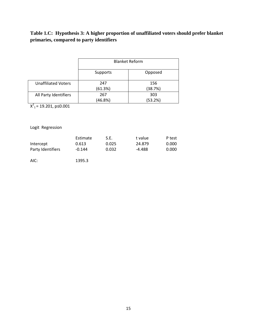## **Table 1.C: Hypothesis 3: A higher proportion of unaffiliated voters should prefer blanket primaries, compared to party identifiers**

|                            | <b>Blanket Reform</b> |         |  |
|----------------------------|-----------------------|---------|--|
|                            | Supports              | Opposed |  |
| <b>Unaffiliated Voters</b> | 247                   | 156     |  |
|                            | (61.3%)               | (38.7%) |  |
| All Party Identifiers      | 267                   | 303     |  |
|                            | (46.8%)               | (53.2%) |  |

 $X^2$ <sub>1</sub> = 19.201, p≤0.001

Logit Regression

|                   | Estimate | S.E.  | t value | P test |
|-------------------|----------|-------|---------|--------|
| Intercept         | 0.613    | 0.025 | 24.879  | 0.000  |
| Party Identifiers | $-0.144$ | 0.032 | -4.488  | 0.000  |
|                   |          |       |         |        |

AIC: 1395.3